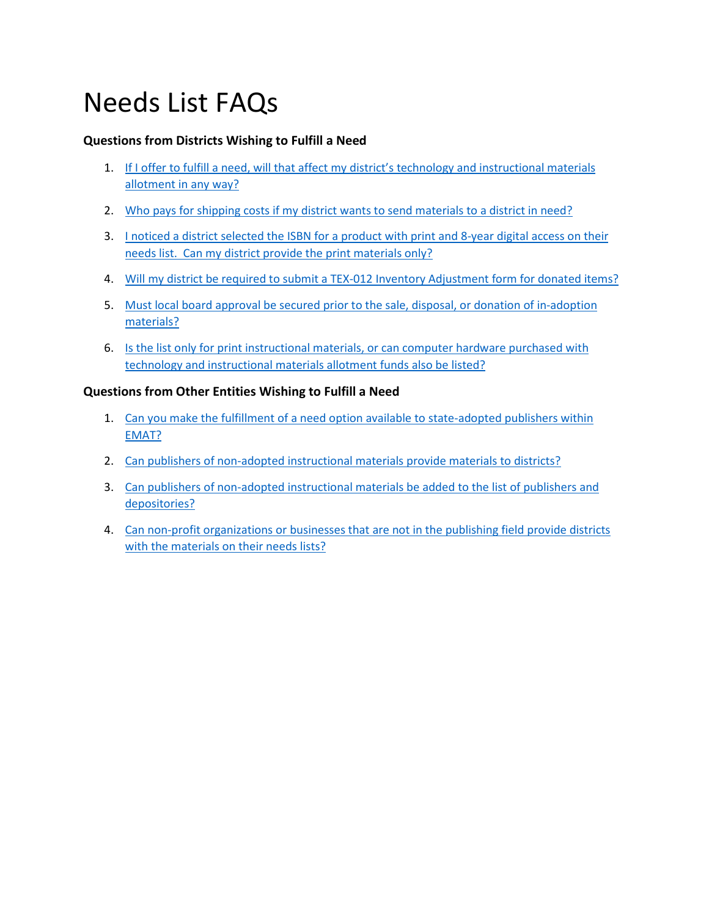# Needs List FAQs

# **Questions from Districts Wishing to Fulfill a Need**

- 1. If I offer to fulfill a need, [will that affect my district's technology and instructional materials](#page-1-0)  allotment [in any way?](#page-1-0)
- 2. [Who pays for shipping costs if my district wants to send materials to a district in need?](#page-1-1)
- 3. [I noticed a district selected the ISBN for a product with print and 8-year digital access on their](#page-1-2) [needs list. Can my district provide the print materials only?](#page-1-2)
- 4. [Will my district be required to submit a TEX-012 Inventory Adjustment form for donated items?](#page-1-3)
- 5. Must local board approval be secured prior to the sale, disposal, or donation of in-adoption [materials?](#page-1-4)
- 6. [Is the list only for print instructional materials, or can computer hardware purchased with](#page-1-5)  [technology and instructional materials allotment](#page-1-5) funds also be listed?

## **Questions from Other Entities Wishing to Fulfill a Need**

- 1. [Can you make the fulfillment of a need option available to state-adopted publishers within](#page-2-0)  [EMAT?](#page-2-0)
- 2. [Can publishers of non-adopted instructional materials provide materials to districts?](#page-2-1)
- 3. [Can publishers of non-adopted instructional materials be added to the list of publishers and](#page-2-2)  [depositories?](#page-2-2)
- 4. [Can non-profit organizations or businesses that are not in the publishing field provide districts](#page-2-3) [with the materials on their needs lists?](#page-2-3)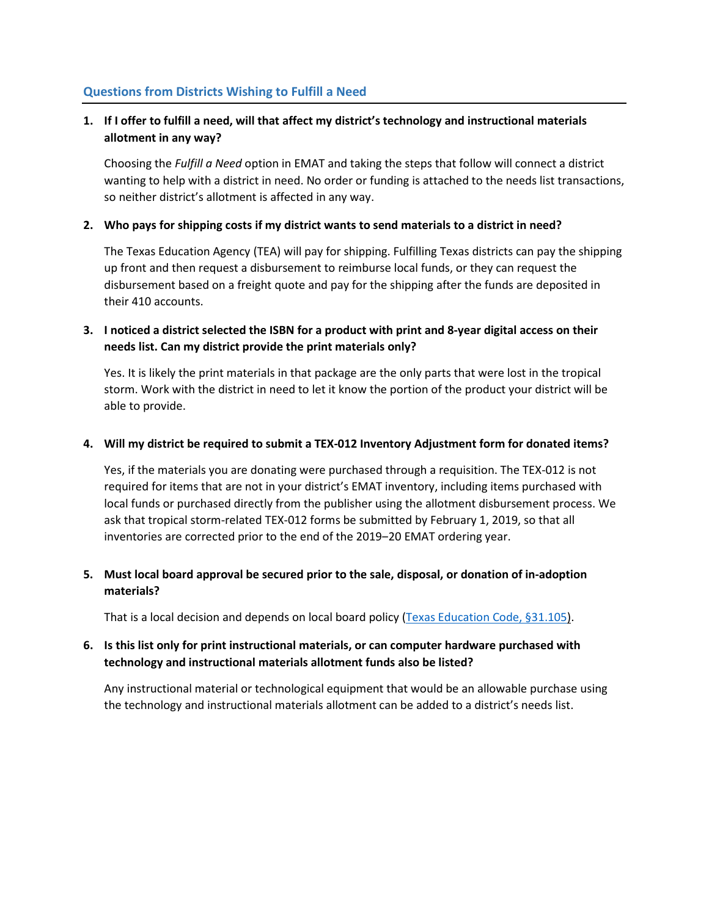#### **Questions from Districts Wishing to Fulfill a Need**

# <span id="page-1-0"></span>**1. If I offer to fulfill a need, will that affect my district's technology and instructional materials allotment in any way?**

Choosing the *Fulfill a Need* option in EMAT and taking the steps that follow will connect a district wanting to help with a district in need. No order or funding is attached to the needs list transactions, so neither district's allotment is affected in any way.

#### <span id="page-1-1"></span>**2. Who pays for shipping costs if my district wants to send materials to a district in need?**

The Texas Education Agency (TEA) will pay for shipping. Fulfilling Texas districts can pay the shipping up front and then request a disbursement to reimburse local funds, or they can request the disbursement based on a freight quote and pay for the shipping after the funds are deposited in their 410 accounts.

#### <span id="page-1-2"></span>**3. I noticed a district selected the ISBN for a product with print and 8-year digital access on their needs list. Can my district provide the print materials only?**

Yes. It is likely the print materials in that package are the only parts that were lost in the tropical storm. Work with the district in need to let it know the portion of the product your district will be able to provide.

#### <span id="page-1-3"></span>**4. Will my district be required to submit a TEX-012 Inventory Adjustment form for donated items?**

Yes, if the materials you are donating were purchased through a requisition. The TEX-012 is not required for items that are not in your district's EMAT inventory, including items purchased with local funds or purchased directly from the publisher using the allotment disbursement process. We ask that tropical storm-related TEX-012 forms be submitted by February 1, 2019, so that all inventories are corrected prior to the end of the 2019–20 EMAT ordering year.

## <span id="page-1-4"></span>**5. Must local board approval be secured prior to the sale, disposal, or donation of in-adoption materials?**

That is a local decision and depends on local board policy [\(Texas Education Code,](http://www.statutes.legis.state.tx.us/Docs/ED/htm/ED.31.htm#31.105) §31.105).

## <span id="page-1-5"></span>**6. Is this list only for print instructional materials, or can computer hardware purchased with technology and instructional materials allotment funds also be listed?**

Any instructional material or technological equipment that would be an allowable purchase using the technology and instructional materials allotment can be added to a district's needs list.